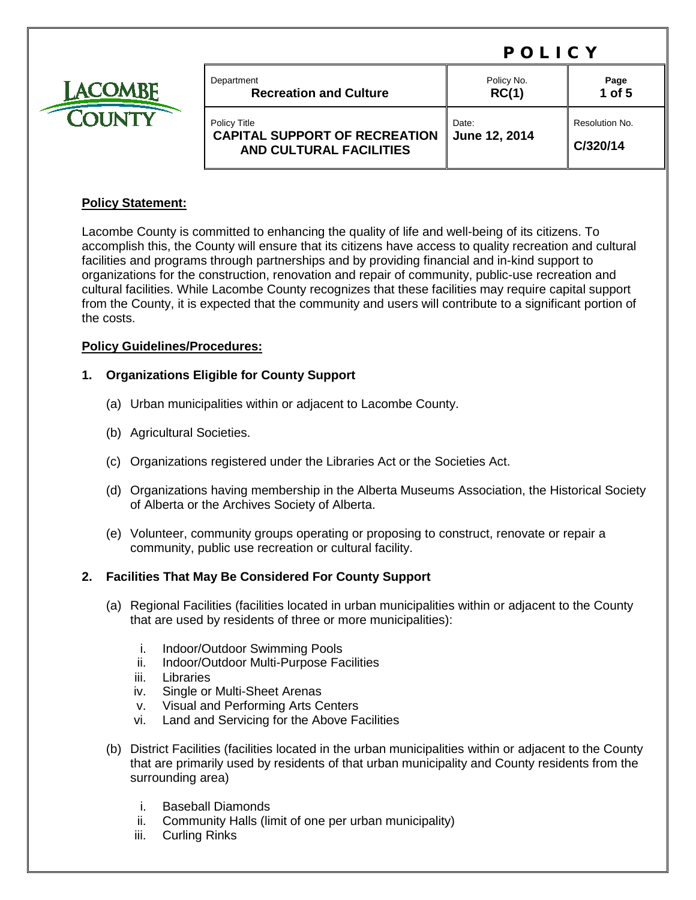# POLICY



| Department                                                                             | Policy No.             | Page                       |
|----------------------------------------------------------------------------------------|------------------------|----------------------------|
| <b>Recreation and Culture</b>                                                          | RC(1)                  | $1$ of $5$                 |
| Policy Title<br><b>CAPITAL SUPPORT OF RECREATION</b><br><b>AND CULTURAL FACILITIES</b> | Date:<br>June 12, 2014 | Resolution No.<br>C/320/14 |

### **Policy Statement:**

Lacombe County is committed to enhancing the quality of life and well-being of its citizens. To accomplish this, the County will ensure that its citizens have access to quality recreation and cultural facilities and programs through partnerships and by providing financial and in-kind support to organizations for the construction, renovation and repair of community, public-use recreation and cultural facilities. While Lacombe County recognizes that these facilities may require capital support from the County, it is expected that the community and users will contribute to a significant portion of the costs.

### **Policy Guidelines/Procedures:**

### **1. Organizations Eligible for County Support**

- (a) Urban municipalities within or adjacent to Lacombe County.
- (b) Agricultural Societies.
- (c) Organizations registered under the Libraries Act or the Societies Act.
- (d) Organizations having membership in the Alberta Museums Association, the Historical Society of Alberta or the Archives Society of Alberta.
- (e) Volunteer, community groups operating or proposing to construct, renovate or repair a community, public use recreation or cultural facility.

### **2. Facilities That May Be Considered For County Support**

- (a) Regional Facilities (facilities located in urban municipalities within or adjacent to the County that are used by residents of three or more municipalities):
	- i. Indoor/Outdoor Swimming Pools
	- ii. Indoor/Outdoor Multi-Purpose Facilities
	- iii. Libraries
	- iv. Single or Multi-Sheet Arenas
	- v. Visual and Performing Arts Centers
	- vi. Land and Servicing for the Above Facilities
- (b) District Facilities (facilities located in the urban municipalities within or adjacent to the County that are primarily used by residents of that urban municipality and County residents from the surrounding area)
	- i. Baseball Diamonds
	- ii. Community Halls (limit of one per urban municipality)
	- iii. Curling Rinks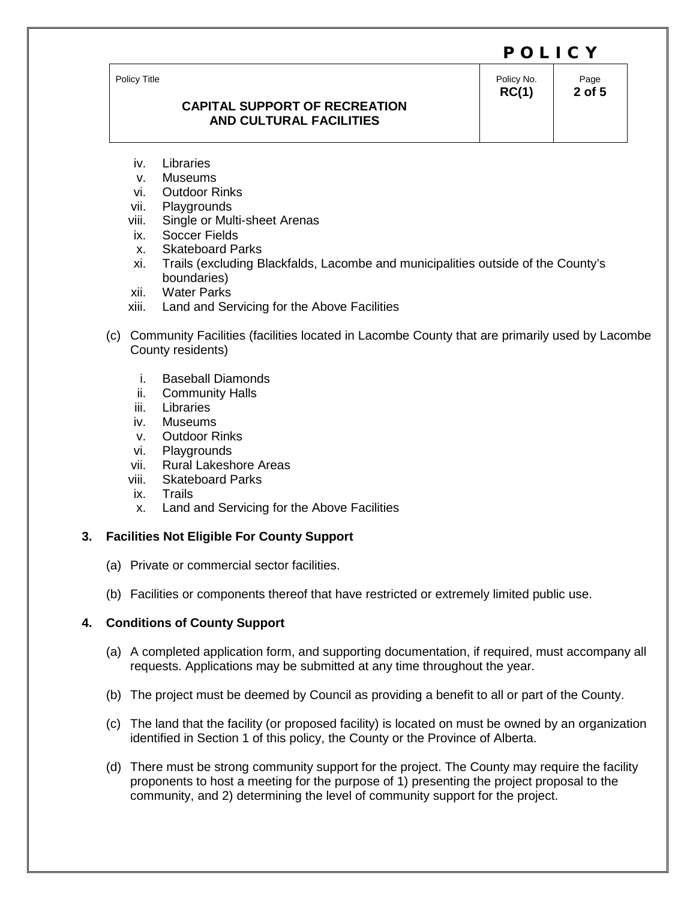Policy Title

### **CAPITAL SUPPORT OF RECREATION AND CULTURAL FACILITIES**

Policy No. **RC(1)**

Page **2 of 5**

- iv. Libraries
- 
- v. Museums<br>vi. Outdoor R **Outdoor Rinks**
- vii. Playgrounds
- viii. Single or Multi-sheet Arenas
- ix. Soccer Fields
- x. Skateboard Parks
- xi. Trails (excluding Blackfalds, Lacombe and municipalities outside of the County's boundaries)
- xii. Water Parks
- xiii. Land and Servicing for the Above Facilities
- (c) Community Facilities (facilities located in Lacombe County that are primarily used by Lacombe County residents)
	- i. Baseball Diamonds
	- ii. Community Halls
	- iii. Libraries
	- iv. Museums
	- v. Outdoor Rinks
	- vi. Playgrounds
	- vii. Rural Lakeshore Areas
	- viii. Skateboard Parks<br>ix. Trails
	- **Trails**
	- x. Land and Servicing for the Above Facilities

# **3. Facilities Not Eligible For County Support**

- (a) Private or commercial sector facilities.
- (b) Facilities or components thereof that have restricted or extremely limited public use.

# **4. Conditions of County Support**

- (a) A completed application form, and supporting documentation, if required, must accompany all requests. Applications may be submitted at any time throughout the year.
- (b) The project must be deemed by Council as providing a benefit to all or part of the County.
- (c) The land that the facility (or proposed facility) is located on must be owned by an organization identified in Section 1 of this policy, the County or the Province of Alberta.
- (d) There must be strong community support for the project. The County may require the facility proponents to host a meeting for the purpose of 1) presenting the project proposal to the community, and 2) determining the level of community support for the project.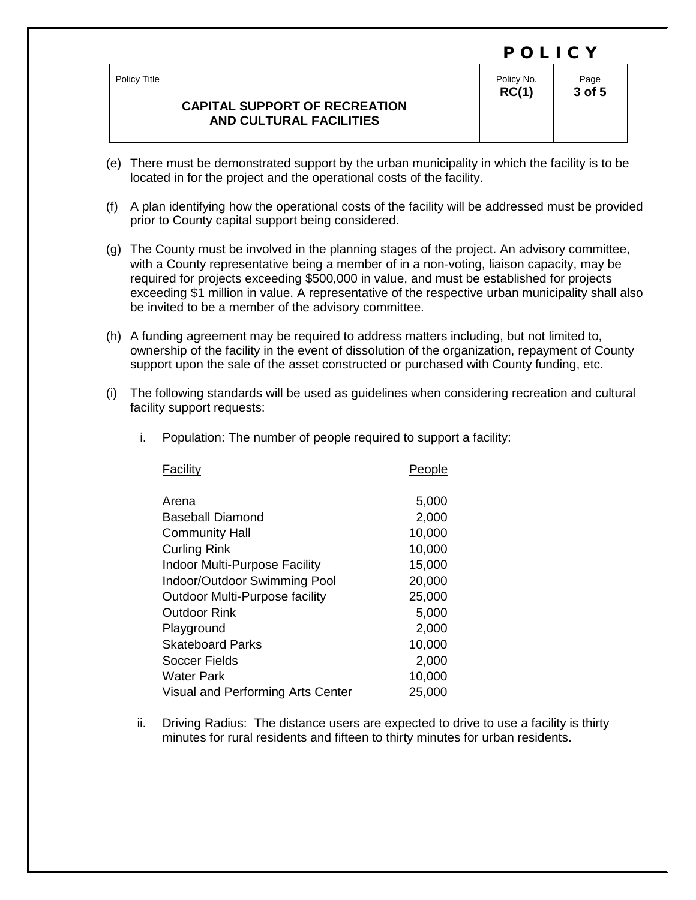|                                                                                        | POLICY              |                |
|----------------------------------------------------------------------------------------|---------------------|----------------|
| Policy Title<br><b>CAPITAL SUPPORT OF RECREATION</b><br><b>AND CULTURAL FACILITIES</b> | Policy No.<br>RC(1) | Page<br>3 of 5 |

- (e) There must be demonstrated support by the urban municipality in which the facility is to be located in for the project and the operational costs of the facility.
- (f) A plan identifying how the operational costs of the facility will be addressed must be provided prior to County capital support being considered.
- (g) The County must be involved in the planning stages of the project. An advisory committee, with a County representative being a member of in a non‐voting, liaison capacity, may be required for projects exceeding \$500,000 in value, and must be established for projects exceeding \$1 million in value. A representative of the respective urban municipality shall also be invited to be a member of the advisory committee.
- (h) A funding agreement may be required to address matters including, but not limited to, ownership of the facility in the event of dissolution of the organization, repayment of County support upon the sale of the asset constructed or purchased with County funding, etc.
- (i) The following standards will be used as guidelines when considering recreation and cultural facility support requests:

| People |
|--------|
| 5,000  |
| 2,000  |
| 10,000 |
| 10,000 |
| 15,000 |
| 20,000 |
| 25,000 |
| 5,000  |
| 2,000  |
| 10,000 |
| 2,000  |
| 10,000 |
|        |

Visual and Performing Arts Center 25,000

i. Population: The number of people required to support a facility:

ii. Driving Radius: The distance users are expected to drive to use a facility is thirty minutes for rural residents and fifteen to thirty minutes for urban residents.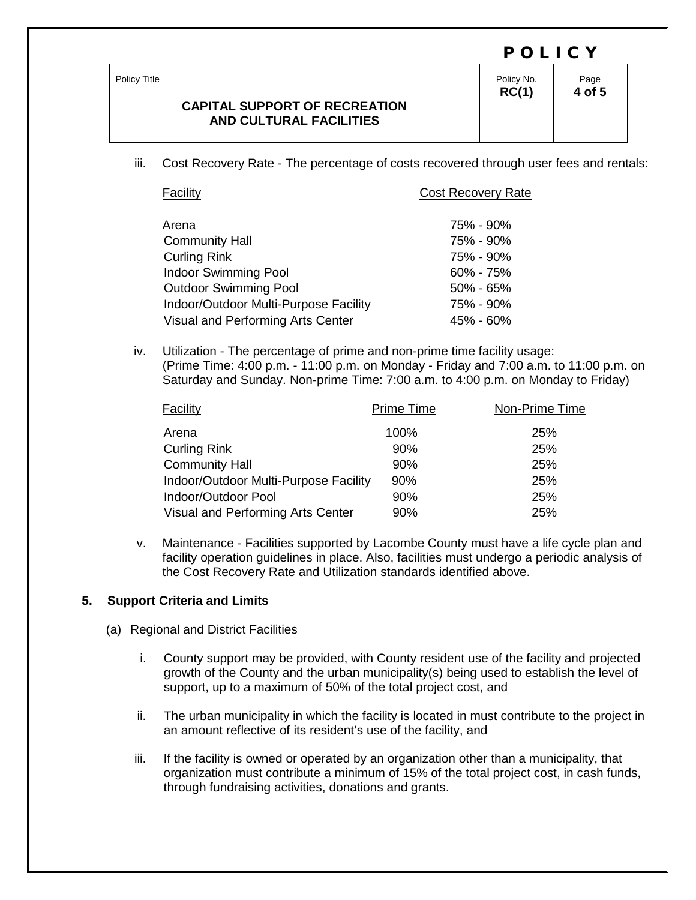| Policy Title<br><b>CAPITAL SUPPORT OF RECREATION</b><br><b>AND CULTURAL FACILITIES</b> | Policy No.<br>RC(1) | Page<br>4 of 5 |
|----------------------------------------------------------------------------------------|---------------------|----------------|

iii. Cost Recovery Rate - The percentage of costs recovered through user fees and rentals:

| Facility                              | <b>Cost Recovery Rate</b> |
|---------------------------------------|---------------------------|
|                                       |                           |
| Arena                                 | 75% - 90%                 |
| <b>Community Hall</b>                 | 75% - 90%                 |
| <b>Curling Rink</b>                   | 75% - 90%                 |
| <b>Indoor Swimming Pool</b>           | $60\% - 75\%$             |
| <b>Outdoor Swimming Pool</b>          | $50\% - 65\%$             |
| Indoor/Outdoor Multi-Purpose Facility | 75% - 90%                 |
| Visual and Performing Arts Center     | 45% - 60%                 |

iv. Utilization - The percentage of prime and non-prime time facility usage: (Prime Time: 4:00 p.m. - 11:00 p.m. on Monday - Friday and 7:00 a.m. to 11:00 p.m. on Saturday and Sunday. Non-prime Time: 7:00 a.m. to 4:00 p.m. on Monday to Friday)

| Facility                              | <b>Prime Time</b> | Non-Prime Time |
|---------------------------------------|-------------------|----------------|
| Arena                                 | 100%              | 25%            |
| <b>Curling Rink</b>                   | 90%               | 25%            |
| <b>Community Hall</b>                 | 90%               | 25%            |
| Indoor/Outdoor Multi-Purpose Facility | 90%               | 25%            |
| Indoor/Outdoor Pool                   | 90%               | 25%            |
| Visual and Performing Arts Center     | 90%               | 25%            |

v. Maintenance - Facilities supported by Lacombe County must have a life cycle plan and facility operation guidelines in place. Also, facilities must undergo a periodic analysis of the Cost Recovery Rate and Utilization standards identified above.

### **5. Support Criteria and Limits**

- (a) Regional and District Facilities
	- i. County support may be provided, with County resident use of the facility and projected growth of the County and the urban municipality(s) being used to establish the level of support, up to a maximum of 50% of the total project cost, and
	- ii. The urban municipality in which the facility is located in must contribute to the project in an amount reflective of its resident's use of the facility, and
	- iii. If the facility is owned or operated by an organization other than a municipality, that organization must contribute a minimum of 15% of the total project cost, in cash funds, through fundraising activities, donations and grants.